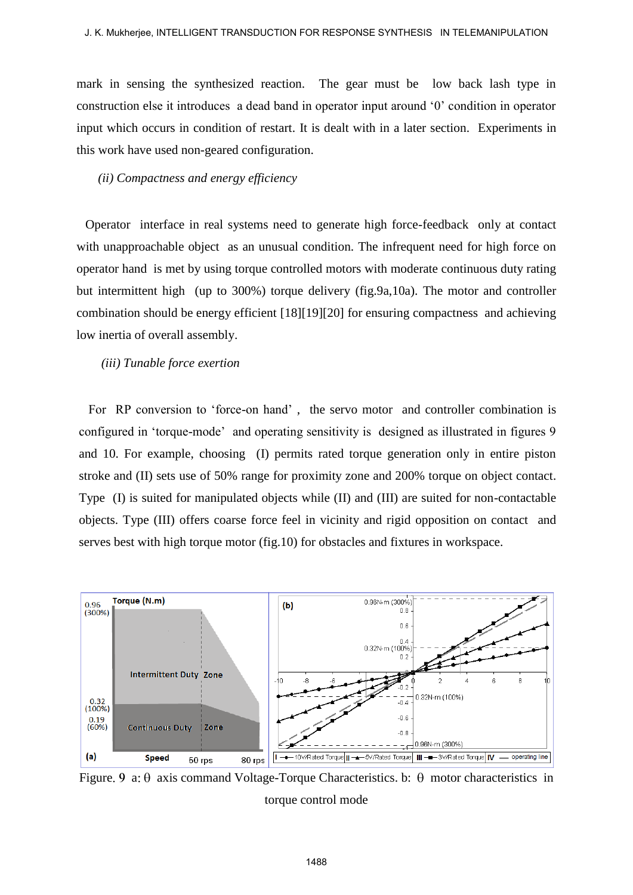mark in sensing the synthesized reaction. The gear must be low back lash type in construction else it introduces a dead band in operator input around '0' condition in operator input which occurs in condition of restart. It is dealt with in a later section. Experiments in this work have used non-geared configuration.

### *(ii) Compactness and energy efficiency*

 Operator interface in real systems need to generate high force-feedback only at contact with unapproachable object as an unusual condition. The infrequent need for high force on operator hand is met by using torque controlled motors with moderate continuous duty rating but intermittent high (up to 300%) torque delivery (fig.9a,10a). The motor and controller combination should be energy efficient [18][19][20] for ensuring compactness and achieving low inertia of overall assembly.

#### *(iii) Tunable force exertion*

 For RP conversion to 'force-on hand' , the servo motor and controller combination is configured in 'torque-mode' and operating sensitivity is designed as illustrated in figures 9 and 10. For example, choosing (I) permits rated torque generation only in entire piston stroke and (II) sets use of 50% range for proximity zone and 200% torque on object contact. Type (I) is suited for manipulated objects while (II) and (III) are suited for non-contactable objects. Type (III) offers coarse force feel in vicinity and rigid opposition on contact and serves best with high torque motor (fig.10) for obstacles and fixtures in workspace.



Figure 9 a:  $\theta$  axis command Voltage-Torque Characteristics. b:  $\theta$  motor characteristics in torque control mode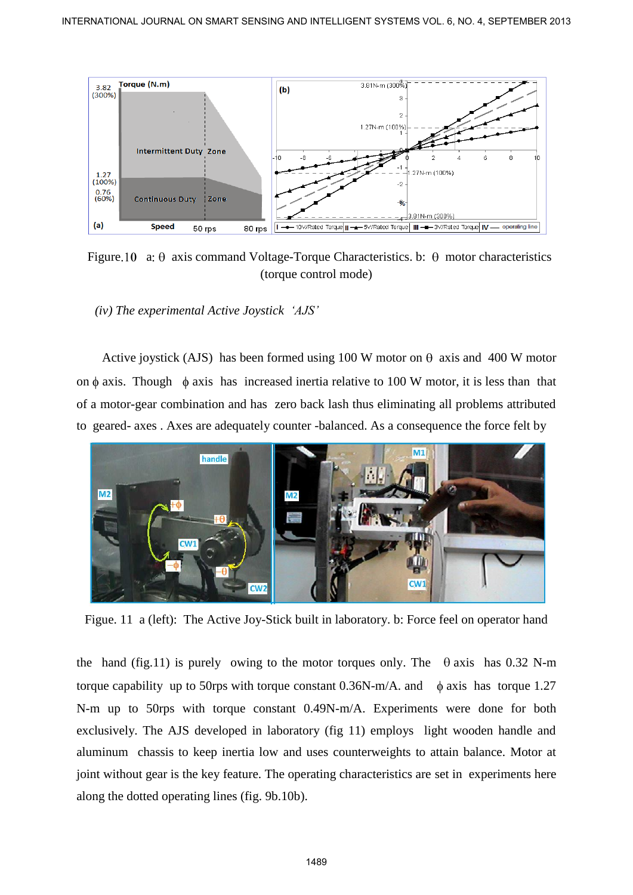

Figure 10 a:  $\theta$  axis command Voltage-Torque Characteristics. b:  $\theta$  motor characteristics (torque control mode)

 *(iv) The experimental Active Joystick 'AJS'* 

Active joystick (AJS) has been formed using 100 W motor on  $\theta$  axis and 400 W motor on  $\phi$  axis. Though  $\phi$  axis has increased inertia relative to 100 W motor, it is less than that of a motor-gear combination and has zero back lash thus eliminating all problems attributed to geared- axes . Axes are adequately counter -balanced. As a consequence the force felt by



Figue. 11 a (left): The Active Joy-Stick built in laboratory. b: Force feel on operator hand

the hand (fig.11) is purely owing to the motor torques only. The  $\theta$  axis has 0.32 N-m torque capability up to 50rps with torque constant  $0.36N$ -m/A. and  $\phi$  axis has torque 1.27 N-m up to 50rps with torque constant 0.49N-m/A. Experiments were done for both exclusively. The AJS developed in laboratory (fig 11) employs light wooden handle and aluminum chassis to keep inertia low and uses counterweights to attain balance. Motor at joint without gear is the key feature. The operating characteristics are set in experiments here along the dotted operating lines (fig. 9b.10b).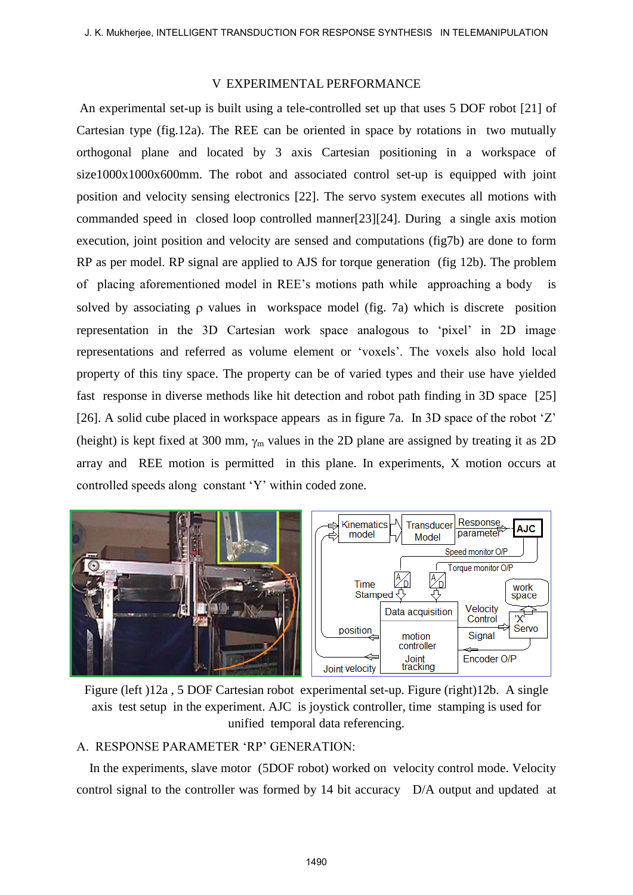### V EXPERIMENTAL PERFORMANCE

An experimental set-up is built using a tele-controlled set up that uses 5 DOF robot [21] of Cartesian type (fig.12a). The REE can be oriented in space by rotations in two mutually orthogonal plane and located by 3 axis Cartesian positioning in a workspace of size1000x1000x600mm. The robot and associated control set-up is equipped with joint position and velocity sensing electronics [22]. The servo system executes all motions with commanded speed in closed loop controlled manner[23][24]. During a single axis motion execution, joint position and velocity are sensed and computations (fig7b) are done to form RP as per model. RP signal are applied to AJS for torque generation (fig 12b). The problem of placing aforementioned model in REE's motions path while approaching a body is solved by associating  $\rho$  values in workspace model (fig. 7a) which is discrete position representation in the 3D Cartesian work space analogous to 'pixel' in 2D image representations and referred as volume element or 'voxels'. The voxels also hold local property of this tiny space. The property can be of varied types and their use have yielded fast response in diverse methods like hit detection and robot path finding in 3D space [25] [26]. A solid cube placed in workspace appears as in figure 7a. In 3D space of the robot 'Z' (height) is kept fixed at 300 mm,  $\gamma_m$  values in the 2D plane are assigned by treating it as 2D array and REE motion is permitted in this plane. In experiments, X motion occurs at controlled speeds along constant 'Y' within coded zone.



Figure (left )12a , 5 DOF Cartesian robot experimental set-up. Figure (right)12b. A single axis test setup in the experiment. AJC is joystick controller, time stamping is used for unified temporal data referencing.

## A. RESPONSE PARAMETER 'RP' GENERATION:

 In the experiments, slave motor (5DOF robot) worked on velocity control mode. Velocity control signal to the controller was formed by 14 bit accuracy D/A output and updated at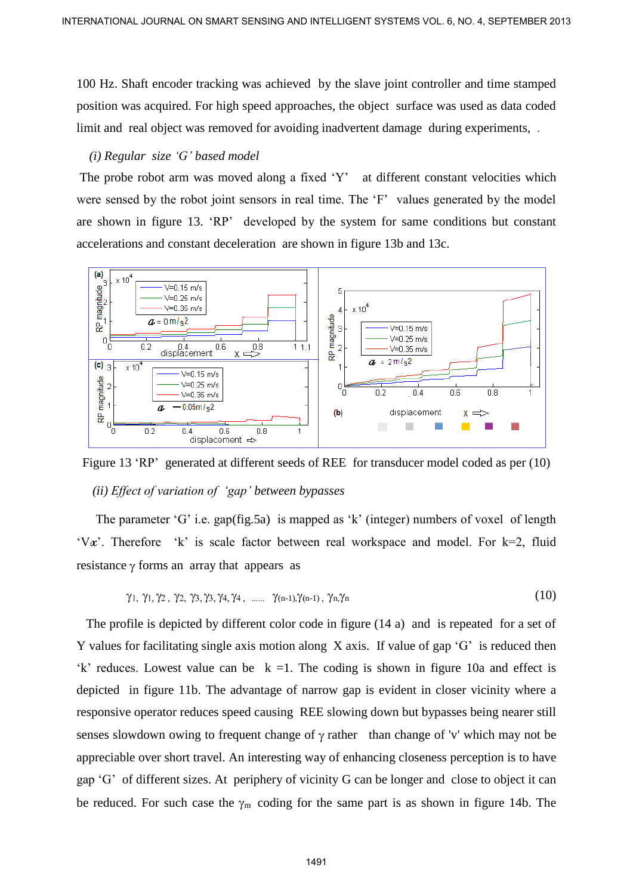100 Hz. Shaft encoder tracking was achieved by the slave joint controller and time stamped position was acquired. For high speed approaches, the object surface was used as data coded limit and real object was removed for avoiding inadvertent damage during experiments, .

### *(i) Regular size 'G' based model*

The probe robot arm was moved along a fixed 'Y' at different constant velocities which were sensed by the robot joint sensors in real time. The 'F' values generated by the model are shown in figure 13. 'RP' developed by the system for same conditions but constant accelerations and constant deceleration are shown in figure 13b and 13c.



Figure 13 'RP' generated at different seeds of REE for transducer model coded as per (10)  *(ii) Effect of variation of 'gap' between bypasses* 

The parameter 'G' i.e. gap(fig.5a) is mapped as 'k' (integer) numbers of voxel of length 'V $x$ '. Therefore 'k' is scale factor between real workspace and model. For  $k=2$ , fluid resistance  $\gamma$  forms an array that appears as

$$
\gamma_1, \gamma_1, \gamma_2, \gamma_2, \gamma_3, \gamma_3, \gamma_4, \gamma_4, \dots \gamma_{(n-1),} \gamma_{(n-1)}, \gamma_n, \gamma_n \tag{10}
$$

 The profile is depicted by different color code in figure (14 a) and is repeated for a set of Y values for facilitating single axis motion along X axis.If value of gap 'G' is reduced then 'k' reduces. Lowest value can be  $k = 1$ . The coding is shown in figure 10a and effect is depicted in figure 11b. The advantage of narrow gap is evident in closer vicinity where a responsive operator reduces speed causing REE slowing down but bypasses being nearer still senses slowdown owing to frequent change of  $\gamma$  rather than change of 'v' which may not be appreciable over short travel. An interesting way of enhancing closeness perception is to have gap 'G' of different sizes. At periphery of vicinity G can be longer and close to object it can be reduced. For such case the  $\gamma_m$  coding for the same part is as shown in figure 14b. The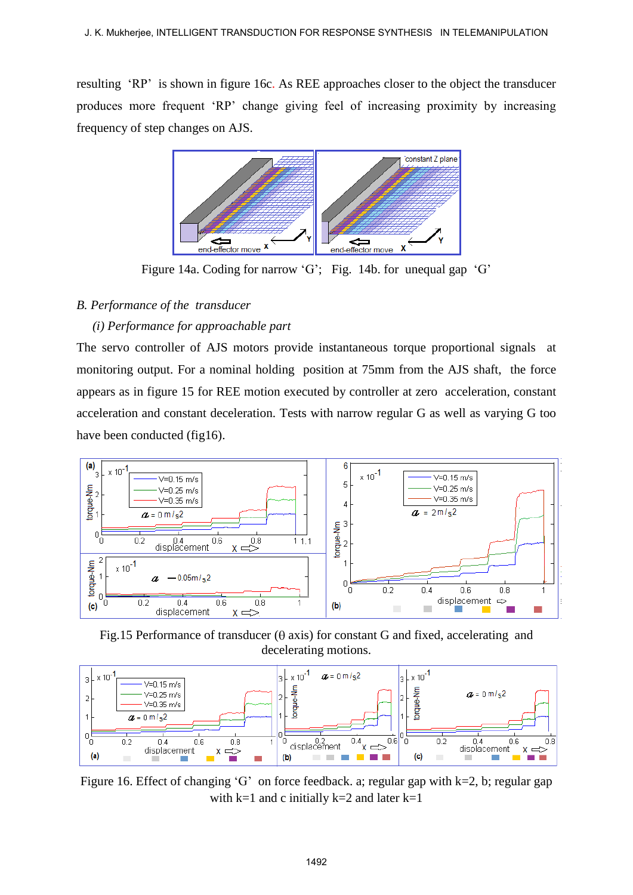resulting 'RP' is shown in figure 16c. As REE approaches closer to the object the transducer produces more frequent 'RP' change giving feel of increasing proximity by increasing frequency of step changes on AJS.



Figure 14a. Coding for narrow 'G'; Fig. 14b. for unequal gap 'G'

# *B. Performance of the transducer*

## *(i) Performance for approachable part*

The servo controller of AJS motors provide instantaneous torque proportional signals at monitoring output. For a nominal holding position at 75mm from the AJS shaft, the force appears as in figure 15 for REE motion executed by controller at zero acceleration, constant acceleration and constant deceleration. Tests with narrow regular G as well as varying G too have been conducted (fig16).



Fig.15 Performance of transducer ( $\theta$  axis) for constant G and fixed, accelerating and decelerating motions.



Figure 16. Effect of changing 'G' on force feedback. a; regular gap with  $k=2$ , b; regular gap with  $k=1$  and c initially  $k=2$  and later  $k=1$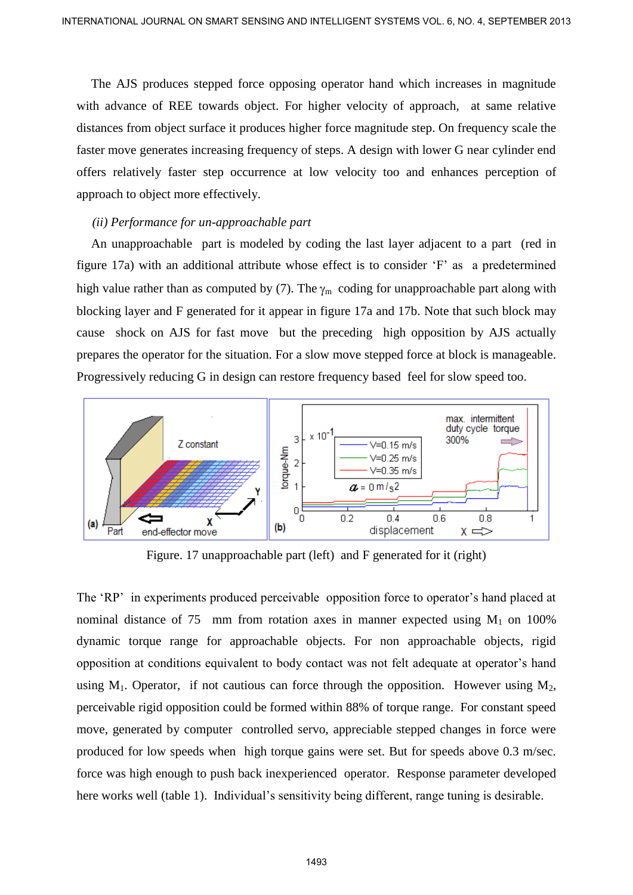The AJS produces stepped force opposing operator hand which increases in magnitude with advance of REE towards object. For higher velocity of approach, at same relative distances from object surface it produces higher force magnitude step. On frequency scale the faster move generates increasing frequency of steps. A design with lower G near cylinder end offers relatively faster step occurrence at low velocity too and enhances perception of approach to object more effectively.

### *(ii) Performance for un-approachable part*

 An unapproachable part is modeled by coding the last layer adjacent to a part (red in figure 17a) with an additional attribute whose effect is to consider 'F' as a predetermined high value rather than as computed by (7). The  $\gamma_m$  coding for unapproachable part along with blocking layer and F generated for it appear in figure 17a and 17b. Note that such block may cause shock on AJS for fast move but the preceding high opposition by AJS actually prepares the operator for the situation. For a slow move stepped force at block is manageable. Progressively reducing G in design can restore frequency based feel for slow speed too.



Figure. 17 unapproachable part (left) and F generated for it (right)

The 'RP' in experiments produced perceivable opposition force to operator's hand placed at nominal distance of 75 mm from rotation axes in manner expected using  $M_1$  on 100% dynamic torque range for approachable objects. For non approachable objects, rigid opposition at conditions equivalent to body contact was not felt adequate at operator's hand using  $M_1$ . Operator, if not cautious can force through the opposition. However using  $M_2$ , perceivable rigid opposition could be formed within 88% of torque range. For constant speed move, generated by computer controlled servo, appreciable stepped changes in force were produced for low speeds when high torque gains were set. But for speeds above 0.3 m/sec. force was high enough to push back inexperienced operator. Response parameter developed here works well (table 1). Individual's sensitivity being different, range tuning is desirable. INTERNATIONAL JOURNAL ON SHAFT SENSING AND INTELLIGENT SYSTEMS VOL. 8, NO. 4, SEPTEMBER 2013<br>
The AIS produces stepped force opposing operator hand which increases in magnitode<br>
which advance of REE towards ignorates in t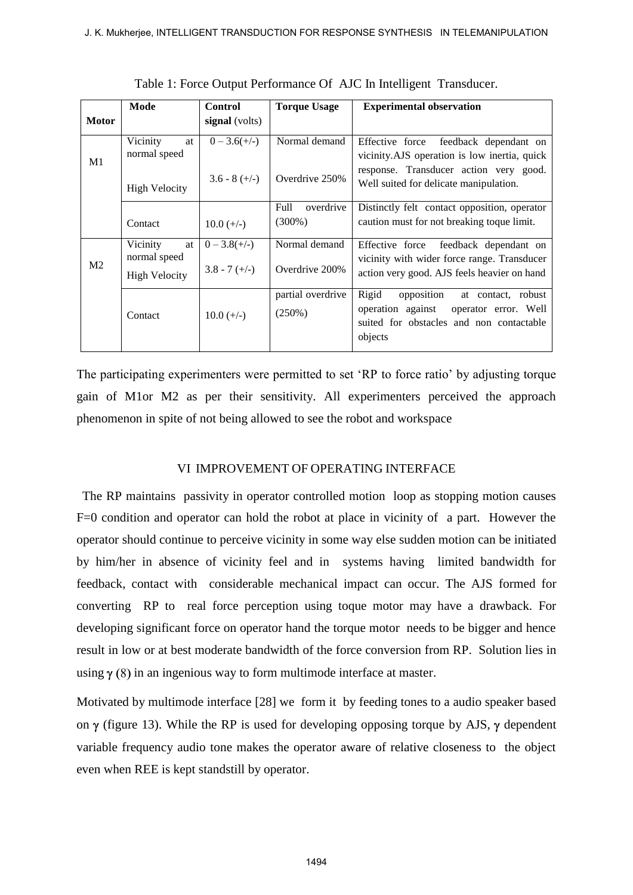|                | Mode                 | <b>Control</b>    | <b>Torque Usage</b> | <b>Experimental observation</b>               |
|----------------|----------------------|-------------------|---------------------|-----------------------------------------------|
| <b>Motor</b>   |                      | signal (volts)    |                     |                                               |
| M1             | Vicinity<br>at       | $0 - 3.6(+/-)$    | Normal demand       | Effective force feedback dependant on         |
|                | normal speed         |                   |                     | vicinity. AJS operation is low inertia, quick |
|                |                      | $3.6 - 8 (+/-)$   | Overdrive 250%      | response. Transducer action very good.        |
|                | <b>High Velocity</b> |                   |                     | Well suited for delicate manipulation.        |
|                |                      |                   | Full<br>overdrive   | Distinctly felt contact opposition, operator  |
|                | Contact              | $10.0 (+/-)$      | $(300\%)$           | caution must for not breaking to que limit.   |
| M <sub>2</sub> | Vicinity             | at $0 - 3.8(+/-)$ | Normal demand       | Effective force<br>feedback dependant on      |
|                | normal speed         |                   |                     | vicinity with wider force range. Transducer   |
|                | <b>High Velocity</b> | $3.8 - 7 (+/-)$   | Overdrive 200%      | action very good. AJS feels heavier on hand   |
|                |                      |                   | partial overdrive   | Rigid<br>opposition<br>at contact, robust     |
|                | Contact              | $10.0 (+/-)$      | $(250\%)$           | operation against<br>operator error. Well     |
|                |                      |                   |                     | suited for obstacles and non contactable      |
|                |                      |                   |                     | objects                                       |
|                |                      |                   |                     |                                               |

Table 1: Force Output Performance Of AJC In Intelligent Transducer.

The participating experimenters were permitted to set 'RP to force ratio' by adjusting torque gain of M1or M2 as per their sensitivity. All experimenters perceived the approach phenomenon in spite of not being allowed to see the robot and workspace

### VI IMPROVEMENT OF OPERATING INTERFACE

 The RP maintains passivity in operator controlled motion loop as stopping motion causes F=0 condition and operator can hold the robot at place in vicinity of a part. However the operator should continue to perceive vicinity in some way else sudden motion can be initiated by him/her in absence of vicinity feel and in systems having limited bandwidth for feedback, contact with considerable mechanical impact can occur. The AJS formed for converting RP to real force perception using toque motor may have a drawback. For developing significant force on operator hand the torque motor needs to be bigger and hence result in low or at best moderate bandwidth of the force conversion from RP. Solution lies in using  $\gamma$  (8) in an ingenious way to form multimode interface at master.

Motivated by multimode interface [28] we form it by feeding tones to a audio speaker based on  $\gamma$  (figure 13). While the RP is used for developing opposing torque by AJS,  $\gamma$  dependent variable frequency audio tone makes the operator aware of relative closeness to the object even when REE is kept standstill by operator.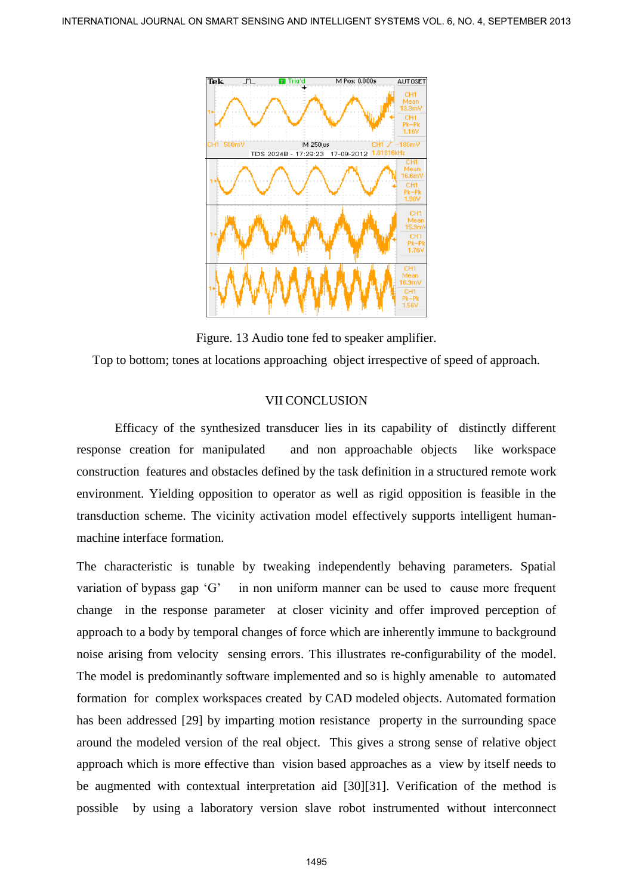

Figure. 13 Audio tone fed to speaker amplifier.

Top to bottom; tones at locations approaching object irrespective of speed of approach.

# VII CONCLUSION

Efficacy of the synthesized transducer lies in its capability of distinctly different response creation for manipulated and non approachable objects like workspace construction features and obstacles defined by the task definition in a structured remote work environment. Yielding opposition to operator as well as rigid opposition is feasible in the transduction scheme. The vicinity activation model effectively supports intelligent humanmachine interface formation.

The characteristic is tunable by tweaking independently behaving parameters. Spatial variation of bypass gap 'G' in non uniform manner can be used to cause more frequent change in the response parameter at closer vicinity and offer improved perception of approach to a body by temporal changes of force which are inherently immune to background noise arising from velocity sensing errors. This illustrates re-configurability of the model. The model is predominantly software implemented and so is highly amenable to automated formation for complex workspaces created by CAD modeled objects. Automated formation has been addressed [29] by imparting motion resistance property in the surrounding space around the modeled version of the real object. This gives a strong sense of relative object approach which is more effective than vision based approaches as a view by itself needs to be augmented with contextual interpretation aid [30][31]. Verification of the method is possible by using a laboratory version slave robot instrumented without interconnect INTERNATIONAL JOURNAL ON SIGHAT SENSING AND INTELLIGENT SYSTEMS VALUE AND A SEPTEMBER 2013 1<br>
INTELLIGENT SYSTEMS VALUE AND THE CONCEPT INTELLIGENT SYSTEMS VALUE AND INTELLIGENT SYSTEMS VALUE AND THE CONCEPT INTELLIGENT S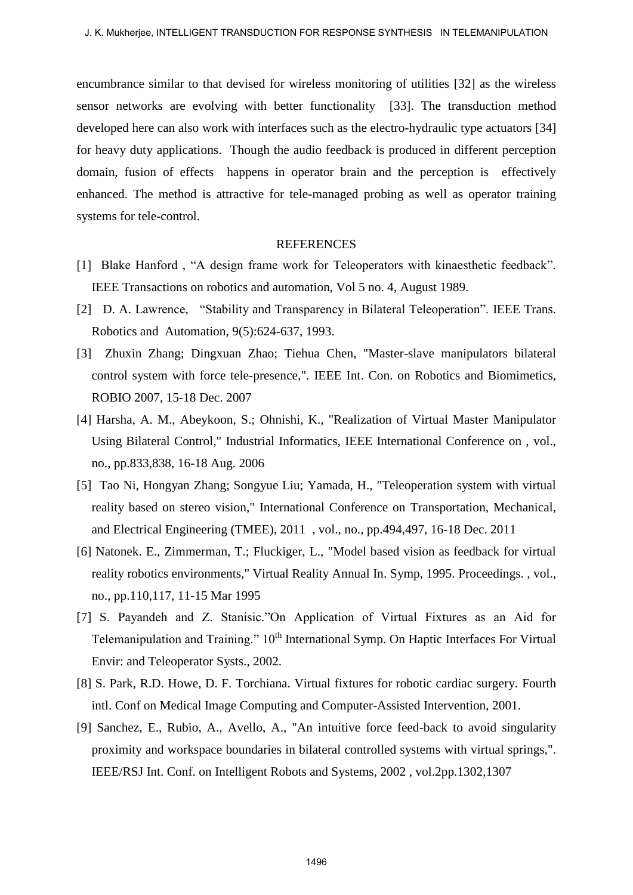encumbrance similar to that devised for wireless monitoring of utilities [32] as the wireless sensor networks are evolving with better functionality [33]. The transduction method developed here can also work with interfaces such as the electro-hydraulic type actuators [34] for heavy duty applications. Though the audio feedback is produced in different perception domain, fusion of effects happens in operator brain and the perception is effectively enhanced. The method is attractive for tele-managed probing as well as operator training systems for tele-control.

#### REFERENCES

- [1] Blake Hanford, "A design frame work for Teleoperators with kinaesthetic feedback". IEEE Transactions on robotics and automation, Vol 5 no. 4, August 1989.
- [2] D. A. Lawrence, "Stability and Transparency in Bilateral Teleoperation". IEEE Trans. Robotics and Automation, 9(5):624-637, 1993.
- [3] Zhuxin Zhang; Dingxuan Zhao; Tiehua Chen, "Master-slave manipulators bilateral control system with force tele-presence,". IEEE Int. Con. on Robotics and Biomimetics, ROBIO 2007, 15-18 Dec. 2007
- [4] Harsha, A. M., Abeykoon, S.; Ohnishi, K., "Realization of Virtual Master Manipulator Using Bilateral Control," Industrial Informatics, IEEE International Conference on , vol., no., pp.833,838, 16-18 Aug. 2006
- [5] Tao Ni, Hongyan Zhang; Songyue Liu; Yamada, H., "Teleoperation system with virtual reality based on stereo vision," International Conference on Transportation, Mechanical, and Electrical Engineering (TMEE), 2011 , vol., no., pp.494,497, 16-18 Dec. 2011
- [6] Natonek. E., Zimmerman, T.; Fluckiger, L., "Model based vision as feedback for virtual reality robotics environments," Virtual Reality Annual In. Symp, 1995. Proceedings. , vol., no., pp.110,117, 11-15 Mar 1995
- [7] S. Payandeh and Z. Stanisic."On Application of Virtual Fixtures as an Aid for Telemanipulation and Training."  $10<sup>th</sup>$  International Symp. On Haptic Interfaces For Virtual Envir: and Teleoperator Systs., 2002.
- [8] S. Park, R.D. Howe, D. F. Torchiana. Virtual fixtures for robotic cardiac surgery. Fourth intl. Conf on Medical Image Computing and Computer-Assisted Intervention, 2001.
- [9] Sanchez, E., Rubio, A., Avello, A., "An intuitive force feed-back to avoid singularity proximity and workspace boundaries in bilateral controlled systems with virtual springs,". IEEE/RSJ Int. Conf. on Intelligent Robots and Systems, 2002 , vol.2pp.1302,1307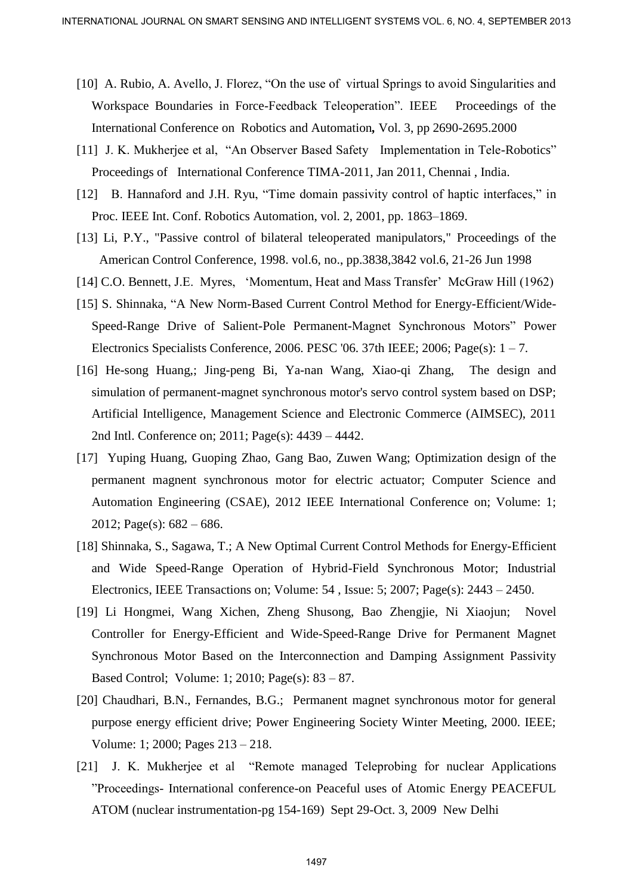- [10] A. Rubio, A. Avello, J. Florez, "On the use of virtual Springs to avoid Singularities and Workspace Boundaries in Force-Feedback Teleoperation". IEEE Proceedings of the International Conference on Robotics and Automation*,* Vol. 3, pp 2690-2695.2000
- [11] J. K. Mukherjee et al, "An Observer Based Safety Implementation in Tele-Robotics" Proceedings of International Conference TIMA-2011, Jan 2011, Chennai , India.
- [12] B. Hannaford and J.H. Ryu, "Time domain passivity control of haptic interfaces," in Proc. IEEE Int. Conf. Robotics Automation, vol. 2, 2001, pp. 1863–1869.
- [13] Li, P.Y., "Passive control of bilateral teleoperated manipulators," Proceedings of the American Control Conference, 1998. vol.6, no., pp.3838,3842 vol.6, 21-26 Jun 1998
- [14] C.O. Bennett, J.E. Myres, 'Momentum, Heat and Mass Transfer' McGraw Hill (1962)
- [15] S. Shinnaka, "A New Norm-Based Current Control Method for Energy-Efficient/Wide-Speed-Range Drive of Salient-Pole Permanent-Magnet Synchronous Motors" Power Electronics Specialists Conference, 2006. PESC '06. 37th IEEE; 2006; Page(s):  $1 - 7$ .
- [16] He-song Huang,; Jing-peng Bi, Ya-nan Wang, Xiao-qi Zhang, The design and simulation of permanent-magnet synchronous motor's servo control system based on DSP; Artificial Intelligence, Management Science and Electronic Commerce (AIMSEC), 2011 2nd Intl. Conference on; 2011; Page(s): 4439 – 4442.
- [17] Yuping Huang, Guoping Zhao, Gang Bao, Zuwen Wang; Optimization design of the permanent magnent synchronous motor for electric actuator; Computer Science and Automation Engineering (CSAE), 2012 IEEE International Conference on; Volume: 1; 2012; Page(s):  $682 - 686$ .
- [18] Shinnaka, S., Sagawa, T.; A New Optimal Current Control Methods for Energy-Efficient and Wide Speed-Range Operation of Hybrid-Field Synchronous Motor; Industrial Electronics, IEEE Transactions on; Volume: 54 , Issue: 5; 2007; Page(s): 2443 – 2450.
- [19] Li Hongmei, Wang Xichen, Zheng Shusong, Bao Zhengjie, Ni Xiaojun; Novel Controller for Energy-Efficient and Wide-Speed-Range Drive for Permanent Magnet Synchronous Motor Based on the Interconnection and Damping Assignment Passivity Based Control; Volume: 1; 2010; Page(s): 83 – 87. INTERNATIONAL JOURNAL ON SHAFI SENSING AND INTELLIGENT SYSTEMS VOL. 3, NO. 4, SEPTEMBER 2013<br>
ION A RABIO. A Aveilo, J. Florez, "On the use of virtual Systems of the proceedings of the headers connections in Force-Fescheck
	- [20] Chaudhari, B.N., Fernandes, B.G.; Permanent magnet synchronous motor for general purpose energy efficient drive; Power Engineering Society Winter Meeting, 2000. IEEE; Volume: 1; 2000; Pages 213 – 218.
	- [21] J. K. Mukherjee et al "Remote managed Teleprobing for nuclear Applications "Proceedings- International conference-on Peaceful uses of Atomic Energy PEACEFUL ATOM (nuclear instrumentation-pg 154-169) Sept 29-Oct. 3, 2009 New Delhi